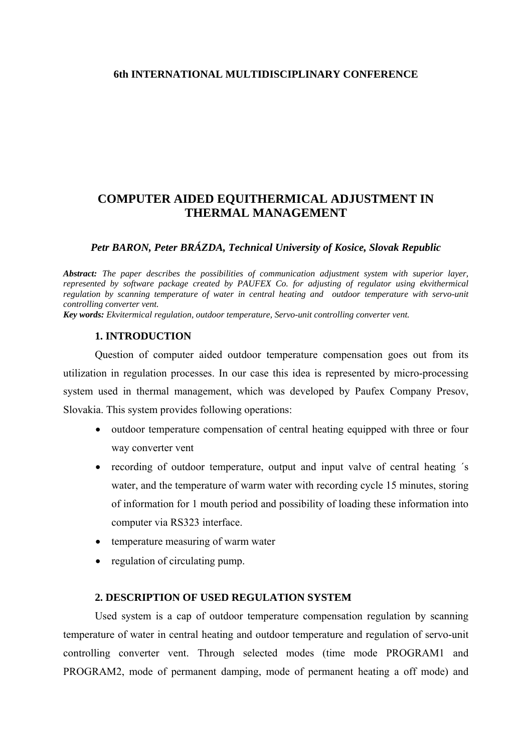#### **6th INTERNATIONAL MULTIDISCIPLINARY CONFERENCE**

# **COMPUTER AIDED EQUITHERMICAL ADJUSTMENT IN THERMAL MANAGEMENT**

#### *Petr BARON, Peter BRÁZDA, Technical University of Kosice, Slovak Republic*

*Abstract: The paper describes the possibilities of communication adjustment system with superior layer, represented by software package created by PAUFEX Co. for adjusting of regulator using ekvithermical regulation by scanning temperature of water in central heating and outdoor temperature with servo-unit controlling converter vent.*

*Key words: Ekvitermical regulation, outdoor temperature, Servo-unit controlling converter vent.* 

## **1. INTRODUCTION**

 Question of computer aided outdoor temperature compensation goes out from its utilization in regulation processes. In our case this idea is represented by micro-processing system used in thermal management, which was developed by Paufex Company Presov, Slovakia. This system provides following operations:

- outdoor temperature compensation of central heating equipped with three or four way converter vent
- recording of outdoor temperature, output and input valve of central heating 's water, and the temperature of warm water with recording cycle 15 minutes, storing of information for 1 mouth period and possibility of loading these information into computer via RS323 interface.
- temperature measuring of warm water
- regulation of circulating pump.

## **2. DESCRIPTION OF USED REGULATION SYSTEM**

Used system is a cap of outdoor temperature compensation regulation by scanning temperature of water in central heating and outdoor temperature and regulation of servo-unit controlling converter vent. Through selected modes (time mode PROGRAM1 and PROGRAM2, mode of permanent damping, mode of permanent heating a off mode) and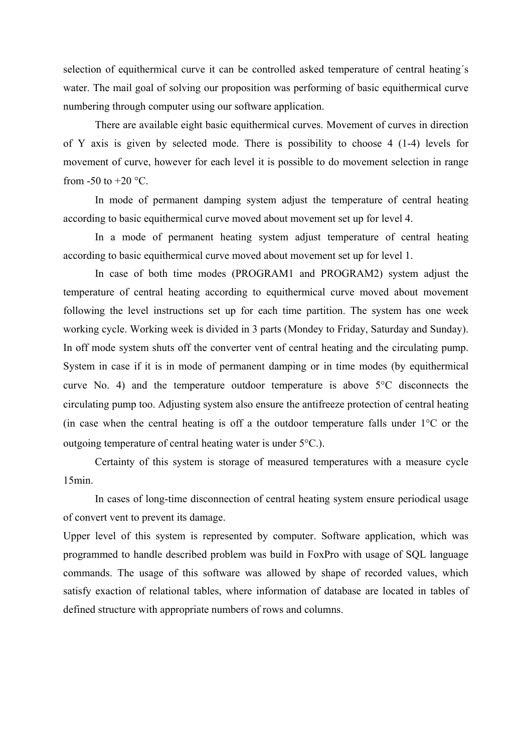selection of equithermical curve it can be controlled asked temperature of central heating´s water. The mail goal of solving our proposition was performing of basic equithermical curve numbering through computer using our software application.

There are available eight basic equithermical curves. Movement of curves in direction of Y axis is given by selected mode. There is possibility to choose 4 (1-4) levels for movement of curve, however for each level it is possible to do movement selection in range from  $-50$  to  $+20$  °C.

In mode of permanent damping system adjust the temperature of central heating according to basic equithermical curve moved about movement set up for level 4.

In a mode of permanent heating system adjust temperature of central heating according to basic equithermical curve moved about movement set up for level 1.

In case of both time modes (PROGRAM1 and PROGRAM2) system adjust the temperature of central heating according to equithermical curve moved about movement following the level instructions set up for each time partition. The system has one week working cycle. Working week is divided in 3 parts (Mondey to Friday, Saturday and Sunday). In off mode system shuts off the converter vent of central heating and the circulating pump. System in case if it is in mode of permanent damping or in time modes (by equithermical curve No. 4) and the temperature outdoor temperature is above 5°C disconnects the circulating pump too. Adjusting system also ensure the antifreeze protection of central heating (in case when the central heating is off a the outdoor temperature falls under 1°C or the outgoing temperature of central heating water is under 5°C.).

Certainty of this system is storage of measured temperatures with a measure cycle 15min.

In cases of long-time disconnection of central heating system ensure periodical usage of convert vent to prevent its damage.

Upper level of this system is represented by computer. Software application, which was programmed to handle described problem was build in FoxPro with usage of SQL language commands. The usage of this software was allowed by shape of recorded values, which satisfy exaction of relational tables, where information of database are located in tables of defined structure with appropriate numbers of rows and columns.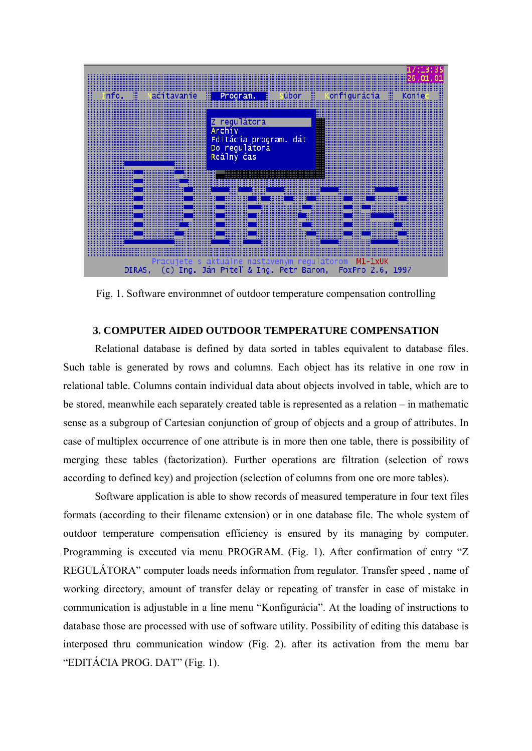

Fig. 1. Software environmnet of outdoor temperature compensation controlling

# **3. COMPUTER AIDED OUTDOOR TEMPERATURE COMPENSATION**

 Relational database is defined by data sorted in tables equivalent to database files. Such table is generated by rows and columns. Each object has its relative in one row in relational table. Columns contain individual data about objects involved in table, which are to be stored, meanwhile each separately created table is represented as a relation – in mathematic sense as a subgroup of Cartesian conjunction of group of objects and a group of attributes. In case of multiplex occurrence of one attribute is in more then one table, there is possibility of merging these tables (factorization). Further operations are filtration (selection of rows according to defined key) and projection (selection of columns from one ore more tables).

 Software application is able to show records of measured temperature in four text files formats (according to their filename extension) or in one database file. The whole system of outdoor temperature compensation efficiency is ensured by its managing by computer. Programming is executed via menu PROGRAM. (Fig. 1). After confirmation of entry "Z REGULÁTORA" computer loads needs information from regulator. Transfer speed , name of working directory, amount of transfer delay or repeating of transfer in case of mistake in communication is adjustable in a line menu "Konfigurácia". At the loading of instructions to database those are processed with use of software utility. Possibility of editing this database is interposed thru communication window (Fig. 2). after its activation from the menu bar "EDITÁCIA PROG. DAT" (Fig. 1).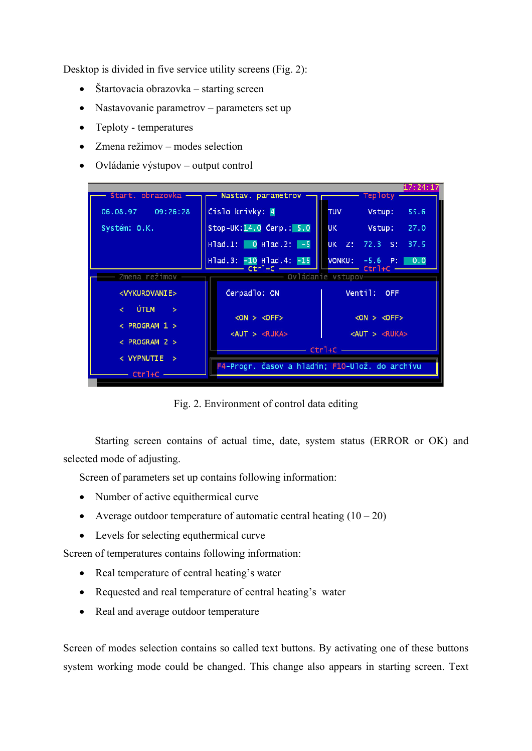Desktop is divided in five service utility screens (Fig. 2):

- Štartovacia obrazovka starting screen
- Nastavovanie parametrov parameters set up
- Teploty temperatures
- Zmena režimov modes selection
- Ovládanie výstupov output control



Fig. 2. Environment of control data editing

Starting screen contains of actual time, date, system status (ERROR or OK) and selected mode of adjusting.

Screen of parameters set up contains following information:

- Number of active equithermical curve
- Average outdoor temperature of automatic central heating  $(10 20)$
- Levels for selecting equthermical curve

Screen of temperatures contains following information:

- Real temperature of central heating's water
- Requested and real temperature of central heating's water
- Real and average outdoor temperature

Screen of modes selection contains so called text buttons. By activating one of these buttons system working mode could be changed. This change also appears in starting screen. Text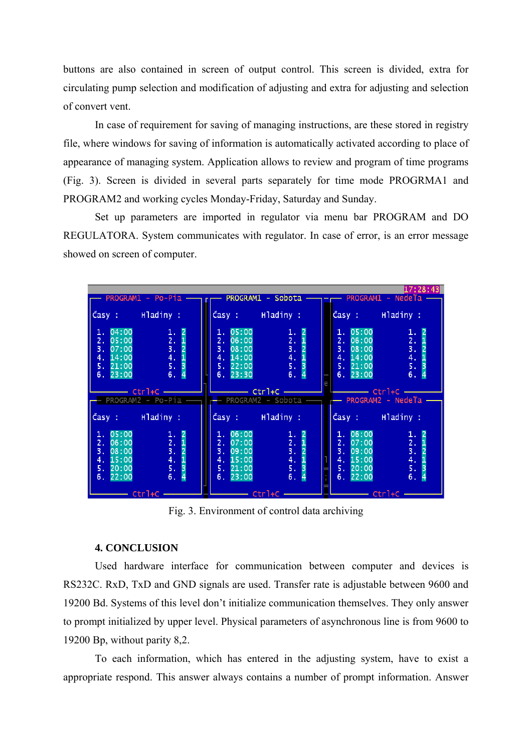buttons are also contained in screen of output control. This screen is divided, extra for circulating pump selection and modification of adjusting and extra for adjusting and selection of convert vent.

In case of requirement for saving of managing instructions, are these stored in registry file, where windows for saving of information is automatically activated according to place of appearance of managing system. Application allows to review and program of time programs (Fig. 3). Screen is divided in several parts separately for time mode PROGRMA1 and PROGRAM2 and working cycles Monday-Friday, Saturday and Sunday.

 Set up parameters are imported in regulator via menu bar PROGRAM and DO REGULATORA. System communicates with regulator. In case of error, is an error message showed on screen of computer.

| 17:28:43<br>PROGRAM1 - Po-Pia - r r PROGRAM1 - Sobota - - - PROGRAM1 - Nedela - |                                                                                          |                                                                                                                                                                                                                                                                                                                                                                                                                                                                                                            |                                                                                          |  |                                                                                |                                                                        |  |
|---------------------------------------------------------------------------------|------------------------------------------------------------------------------------------|------------------------------------------------------------------------------------------------------------------------------------------------------------------------------------------------------------------------------------------------------------------------------------------------------------------------------------------------------------------------------------------------------------------------------------------------------------------------------------------------------------|------------------------------------------------------------------------------------------|--|--------------------------------------------------------------------------------|------------------------------------------------------------------------|--|
|                                                                                 |                                                                                          |                                                                                                                                                                                                                                                                                                                                                                                                                                                                                                            |                                                                                          |  |                                                                                |                                                                        |  |
|                                                                                 | Časy: Hladiny:                                                                           | Časy: Hladiny:                                                                                                                                                                                                                                                                                                                                                                                                                                                                                             |                                                                                          |  | Časy: Hladiny:                                                                 |                                                                        |  |
| 1.04:00<br>2. 05:00<br>3.07:00<br>4. 14:00<br>5.21:00<br>6.23:00                | $\begin{array}{cc} 1. & 2 \\ 2. & 1 \\ 3. & 2 \\ 4. & 1 \\ 5. & 3 \\ 6. & 4 \end{array}$ | 1.05:00<br>2.06:00<br>3. 08:00<br>4. 14:00<br>5.22:00<br>6.23:30                                                                                                                                                                                                                                                                                                                                                                                                                                           | $\begin{array}{cc} 1. & 2 \\ 2. & 1 \\ 3. & 2 \\ 4. & 1 \\ 5. & 3 \\ 6. & 4 \end{array}$ |  | 1.05:00<br>2.06:00<br>3.08:00<br>4. 14:00<br>5.21:00<br>6.23:00                | $\begin{array}{c} 1.2 \\ 2.1 \\ 3.2 \\ 4.1 \\ 5.3 \\ 6.4 \end{array}$  |  |
|                                                                                 | — PROGRAM2 - Po-Pia —                                                                    | $\overline{\phantom{a}}$ $\overline{\phantom{a}}$ $\overline{\phantom{a}}$ $\overline{\phantom{a}}$ $\overline{\phantom{a}}$ $\overline{\phantom{a}}$ $\overline{\phantom{a}}$ $\overline{\phantom{a}}$ $\overline{\phantom{a}}$ $\overline{\phantom{a}}$ $\overline{\phantom{a}}$ $\overline{\phantom{a}}$ $\overline{\phantom{a}}$ $\overline{\phantom{a}}$ $\overline{\phantom{a}}$ $\overline{\phantom{a}}$ $\overline{\phantom{a}}$ $\overline{\phantom{a}}$ $\overline{\$<br>r—— PROGRAM2 - Sobota — |                                                                                          |  | <b>______________ Ctr</b> 1+C _______<br>— PROGRAM2 - Nedeľa -                 |                                                                        |  |
|                                                                                 | Časy: Hladiny:                                                                           | Časy: Hladiny:                                                                                                                                                                                                                                                                                                                                                                                                                                                                                             |                                                                                          |  | Časy : Hladiny :                                                               |                                                                        |  |
| 1.05:00<br>2.06:00<br>3. 08:00<br>4. 15:00<br>5. 20:00<br>6.22:00               | $\begin{array}{cc} 1. & 2 \\ 2. & 1 \\ 3. & 2 \\ 4. & 1 \\ 5. & 3 \\ 6. & 4 \end{array}$ | 1.06:00<br>2.07:00<br>3. 09:00<br>4. 15:00<br>5. 21:00<br>6.23:00                                                                                                                                                                                                                                                                                                                                                                                                                                          | 1. 2<br>2. 1<br>3. 2<br>4. 1<br>5. 3<br>6. 4                                             |  | $\overline{1}$ . 06:00<br>2.07:00<br>3.09:00<br>4. 15:00<br>5.20:00<br>6.22:00 | $\frac{1}{2}$ .<br>$\frac{3}{4}$ .<br>$\frac{4}{5}$ .<br>$\frac{2}{1}$ |  |
| $-$ Ctrl+C $-$                                                                  |                                                                                          |                                                                                                                                                                                                                                                                                                                                                                                                                                                                                                            |                                                                                          |  | $\rule{1em}{0.15mm}$ Ctrl+C $\rule{1em}{0.15mm}$                               |                                                                        |  |

Fig. 3. Environment of control data archiving

## **4. CONCLUSION**

 Used hardware interface for communication between computer and devices is RS232C. RxD, TxD and GND signals are used. Transfer rate is adjustable between 9600 and 19200 Bd. Systems of this level don't initialize communication themselves. They only answer to prompt initialized by upper level. Physical parameters of asynchronous line is from 9600 to 19200 Bp, without parity 8,2.

 To each information, which has entered in the adjusting system, have to exist a appropriate respond. This answer always contains a number of prompt information. Answer